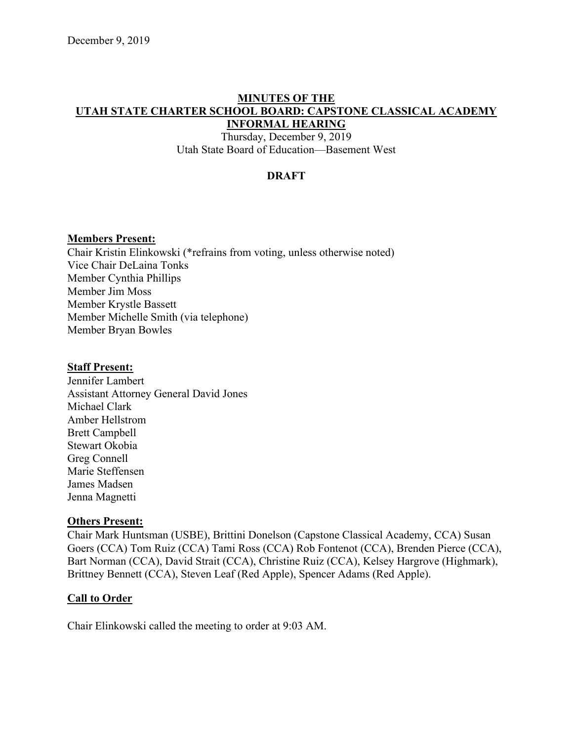#### **MINUTES OF THE UTAH STATE CHARTER SCHOOL BOARD: CAPSTONE CLASSICAL ACADEMY INFORMAL HEARING**

Thursday, December 9, 2019 Utah State Board of Education––Basement West

## **DRAFT**

### **Members Present:**

Chair Kristin Elinkowski (\*refrains from voting, unless otherwise noted) Vice Chair DeLaina Tonks Member Cynthia Phillips Member Jim Moss Member Krystle Bassett Member Michelle Smith (via telephone) Member Bryan Bowles

#### **Staff Present:**

Jennifer Lambert Assistant Attorney General David Jones Michael Clark Amber Hellstrom Brett Campbell Stewart Okobia Greg Connell Marie Steffensen James Madsen Jenna Magnetti

### **Others Present:**

Chair Mark Huntsman (USBE), Brittini Donelson (Capstone Classical Academy, CCA) Susan Goers (CCA) Tom Ruiz (CCA) Tami Ross (CCA) Rob Fontenot (CCA), Brenden Pierce (CCA), Bart Norman (CCA), David Strait (CCA), Christine Ruiz (CCA), Kelsey Hargrove (Highmark), Brittney Bennett (CCA), Steven Leaf (Red Apple), Spencer Adams (Red Apple).

### **Call to Order**

Chair Elinkowski called the meeting to order at 9:03 AM.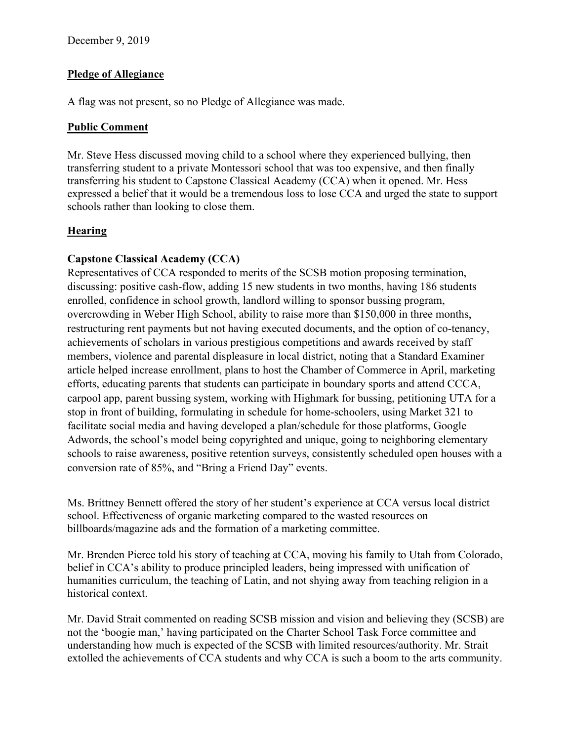## **Pledge of Allegiance**

A flag was not present, so no Pledge of Allegiance was made.

## **Public Comment**

Mr. Steve Hess discussed moving child to a school where they experienced bullying, then transferring student to a private Montessori school that was too expensive, and then finally transferring his student to Capstone Classical Academy (CCA) when it opened. Mr. Hess expressed a belief that it would be a tremendous loss to lose CCA and urged the state to support schools rather than looking to close them.

# **Hearing**

# **Capstone Classical Academy (CCA)**

Representatives of CCA responded to merits of the SCSB motion proposing termination, discussing: positive cash-flow, adding 15 new students in two months, having 186 students enrolled, confidence in school growth, landlord willing to sponsor bussing program, overcrowding in Weber High School, ability to raise more than \$150,000 in three months, restructuring rent payments but not having executed documents, and the option of co-tenancy, achievements of scholars in various prestigious competitions and awards received by staff members, violence and parental displeasure in local district, noting that a Standard Examiner article helped increase enrollment, plans to host the Chamber of Commerce in April, marketing efforts, educating parents that students can participate in boundary sports and attend CCCA, carpool app, parent bussing system, working with Highmark for bussing, petitioning UTA for a stop in front of building, formulating in schedule for home-schoolers, using Market 321 to facilitate social media and having developed a plan/schedule for those platforms, Google Adwords, the school's model being copyrighted and unique, going to neighboring elementary schools to raise awareness, positive retention surveys, consistently scheduled open houses with a conversion rate of 85%, and "Bring a Friend Day" events.

Ms. Brittney Bennett offered the story of her student's experience at CCA versus local district school. Effectiveness of organic marketing compared to the wasted resources on billboards/magazine ads and the formation of a marketing committee.

Mr. Brenden Pierce told his story of teaching at CCA, moving his family to Utah from Colorado, belief in CCA's ability to produce principled leaders, being impressed with unification of humanities curriculum, the teaching of Latin, and not shying away from teaching religion in a historical context.

Mr. David Strait commented on reading SCSB mission and vision and believing they (SCSB) are not the 'boogie man,' having participated on the Charter School Task Force committee and understanding how much is expected of the SCSB with limited resources/authority. Mr. Strait extolled the achievements of CCA students and why CCA is such a boom to the arts community.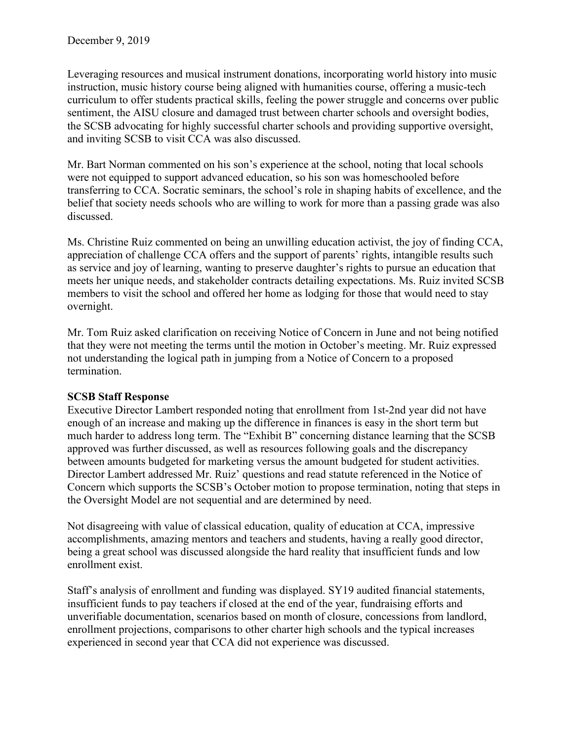Leveraging resources and musical instrument donations, incorporating world history into music instruction, music history course being aligned with humanities course, offering a music-tech curriculum to offer students practical skills, feeling the power struggle and concerns over public sentiment, the AISU closure and damaged trust between charter schools and oversight bodies, the SCSB advocating for highly successful charter schools and providing supportive oversight, and inviting SCSB to visit CCA was also discussed.

Mr. Bart Norman commented on his son's experience at the school, noting that local schools were not equipped to support advanced education, so his son was homeschooled before transferring to CCA. Socratic seminars, the school's role in shaping habits of excellence, and the belief that society needs schools who are willing to work for more than a passing grade was also discussed.

Ms. Christine Ruiz commented on being an unwilling education activist, the joy of finding CCA, appreciation of challenge CCA offers and the support of parents' rights, intangible results such as service and joy of learning, wanting to preserve daughter's rights to pursue an education that meets her unique needs, and stakeholder contracts detailing expectations. Ms. Ruiz invited SCSB members to visit the school and offered her home as lodging for those that would need to stay overnight.

Mr. Tom Ruiz asked clarification on receiving Notice of Concern in June and not being notified that they were not meeting the terms until the motion in October's meeting. Mr. Ruiz expressed not understanding the logical path in jumping from a Notice of Concern to a proposed termination.

## **SCSB Staff Response**

Executive Director Lambert responded noting that enrollment from 1st-2nd year did not have enough of an increase and making up the difference in finances is easy in the short term but much harder to address long term. The "Exhibit B" concerning distance learning that the SCSB approved was further discussed, as well as resources following goals and the discrepancy between amounts budgeted for marketing versus the amount budgeted for student activities. Director Lambert addressed Mr. Ruiz' questions and read statute referenced in the Notice of Concern which supports the SCSB's October motion to propose termination, noting that steps in the Oversight Model are not sequential and are determined by need.

Not disagreeing with value of classical education, quality of education at CCA, impressive accomplishments, amazing mentors and teachers and students, having a really good director, being a great school was discussed alongside the hard reality that insufficient funds and low enrollment exist.

Staff's analysis of enrollment and funding was displayed. SY19 audited financial statements, insufficient funds to pay teachers if closed at the end of the year, fundraising efforts and unverifiable documentation, scenarios based on month of closure, concessions from landlord, enrollment projections, comparisons to other charter high schools and the typical increases experienced in second year that CCA did not experience was discussed.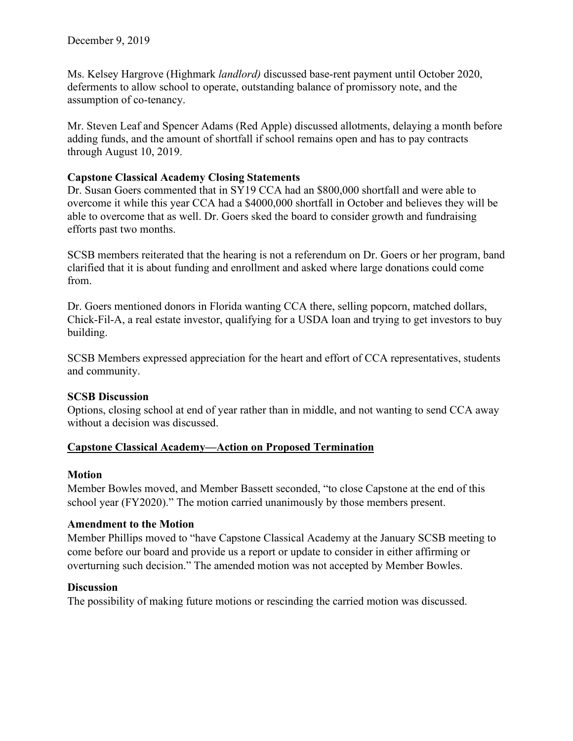Ms. Kelsey Hargrove (Highmark *landlord)* discussed base-rent payment until October 2020, deferments to allow school to operate, outstanding balance of promissory note, and the assumption of co-tenancy.

Mr. Steven Leaf and Spencer Adams (Red Apple) discussed allotments, delaying a month before adding funds, and the amount of shortfall if school remains open and has to pay contracts through August 10, 2019.

## **Capstone Classical Academy Closing Statements**

Dr. Susan Goers commented that in SY19 CCA had an \$800,000 shortfall and were able to overcome it while this year CCA had a \$4000,000 shortfall in October and believes they will be able to overcome that as well. Dr. Goers sked the board to consider growth and fundraising efforts past two months.

SCSB members reiterated that the hearing is not a referendum on Dr. Goers or her program, band clarified that it is about funding and enrollment and asked where large donations could come from.

Dr. Goers mentioned donors in Florida wanting CCA there, selling popcorn, matched dollars, Chick-Fil-A, a real estate investor, qualifying for a USDA loan and trying to get investors to buy building.

SCSB Members expressed appreciation for the heart and effort of CCA representatives, students and community.

### **SCSB Discussion**

Options, closing school at end of year rather than in middle, and not wanting to send CCA away without a decision was discussed.

## **Capstone Classical Academy––Action on Proposed Termination**

### **Motion**

Member Bowles moved, and Member Bassett seconded, "to close Capstone at the end of this school year (FY2020)." The motion carried unanimously by those members present.

### **Amendment to the Motion**

Member Phillips moved to "have Capstone Classical Academy at the January SCSB meeting to come before our board and provide us a report or update to consider in either affirming or overturning such decision." The amended motion was not accepted by Member Bowles.

## **Discussion**

The possibility of making future motions or rescinding the carried motion was discussed.